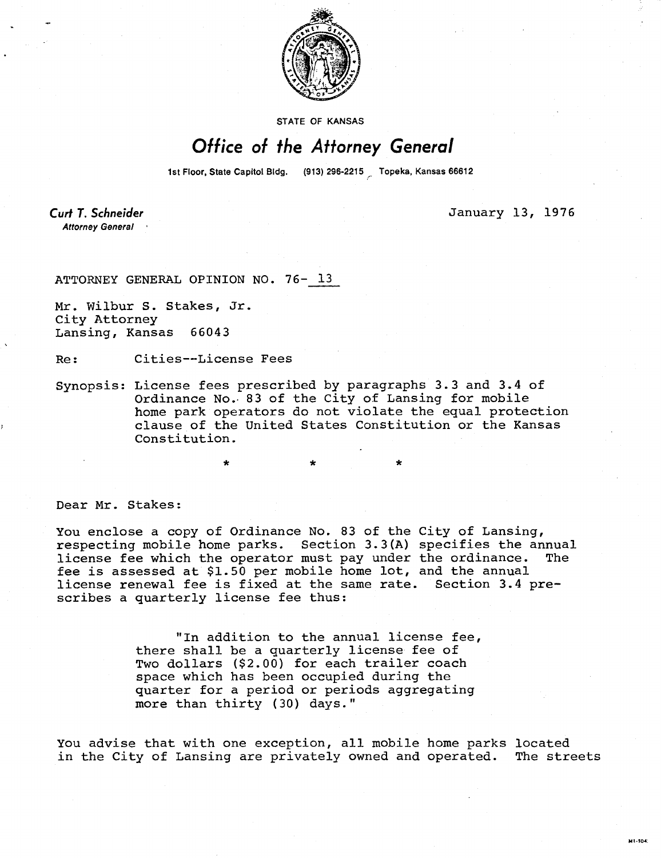

STATE OF KANSAS

## Office of the Attorney General

1st Floor, State Capitol Bldg. (913) 296-2215 Topeka, Kansas 66612

Curt T. Schneider **Attorney General** 

January 13, 1976

M1-104

ATTORNEY GENERAL OPINION NO. 76- 13

Mr. Wilbur S. Stakes, Jr. City Attorney Lansing, Kansas 66043

Re: Cities--License Fees

Synopsis: License fees prescribed by paragraphs 3.3 and 3.4 of Ordinance No. 83 of the City of Lansing for mobile home park operators do not violate the equal protection clause of the United States Constitution or the Kansas Constitution.

\* \*

Dear Mr. Stakes:

You enclose a copy of Ordinance No. 83 of the City of Lansing, respecting mobile home parks. Section 3.3(A) specifies the annual license fee which the operator must pay under the ordinance. The fee is assessed at \$1.50 per mobile home lot, and the annual license renewal fee is fixed at the same rate. Section 3.4 prescribes a quarterly license fee thus:

> "In addition to the annual license fee, there shall be a quarterly license fee of Two dollars (\$2.00) for each trailer coach space which has been occupied during the quarter for a period or periods aggregating more than thirty (30) days."

You advise that with one exception, all mobile home parks located in the City of Lansing are privately owned and operated. The streets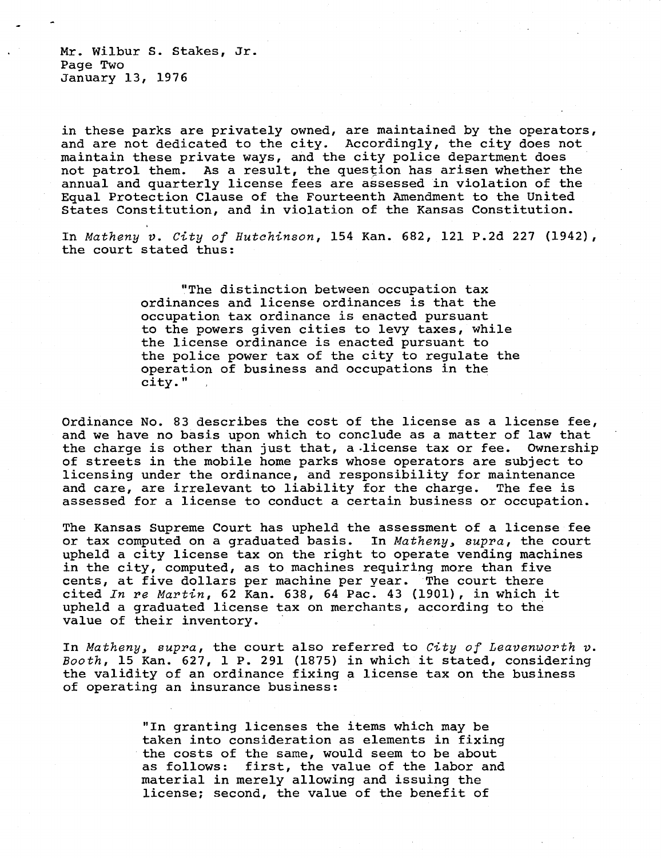Mr. Wilbur S. Stakes, Jr. Page Two January 13, 1976

in these parks are privately owned, are maintained by the operators, and are not dedicated to the city. Accordingly, the city does not maintain these private ways, and the city police department does not patrol them. As a result, the question has arisen whether the annual and quarterly license fees are assessed in violation of the Equal Protection Clause of the Fourteenth Amendment to the United States Constitution, and in violation of the Kansas Constitution.

In Matheny v. City of Hutchinson, 154 Kan.  $682$ , 121 P.2d 227 (1942), the court stated thus:

> "The distinction between occupation tax ordinances and license ordinances is that the occupation tax ordinance is enacted pursuant to the powers given cities to levy taxes, while the license ordinance is enacted pursuant to the police power tax of the city to regulate the operation of business and occupations in the city."

Ordinance No. 83 describes the cost of the license as a license fee, and we have no basis upon which to conclude as a matter of law that the charge is other than just that, a license tax or fee. Ownership of streets in the mobile home parks whose operators are subject to licensing under the ordinance, and responsibility for maintenance and care, are irrelevant to liability for the charge. The fee is and care, are irrelevant to liability for the charge. assessed for a license to conduct a certain business or occupation.

The Kansas Supreme Court has upheld the assessment of a license fee or tax computed on a graduated basis. In Matheny, supra, the court upheld a city license tax on the right to operate vending machines in the city, computed, as to machines requiring more than five cents, at five dollars per machine per year. The court there cited In re Martin, 62 Kan. 638, 64 Pac. 43 (1901), in which it upheld a graduated license tax on merchants, according to the value of their inventory.

In Matheny, supra, the court also referred to City of Leavenworth v. Booth, 15 Kan. 627, 1 P. 291 (1875) in which it stated, considering the validity of an ordinance fixing a license tax on the business of operating an insurance business:

> "In granting licenses the items which may be taken into consideration as elements in fixing the costs of the same, would seem to be about as follows: first, the value of the labor and material in merely allowing and issuing the license; second, the value of the benefit of